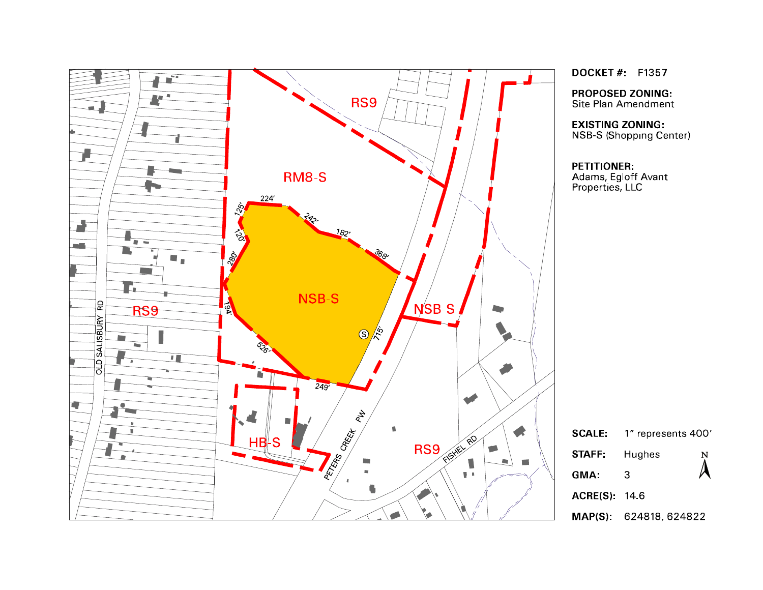

**DOCKET#** F1357

**PROPOSED ZONING:** Site Plan Amendment

**EXISTING ZONING:** NSB-S (Shopping Center)

| Ε. | 1" represents 400' |   |
|----|--------------------|---|
|    | Hughes             | N |
|    | 3                  |   |
|    | (S) 146            |   |
|    |                    |   |

MAP(S): 624818, 624822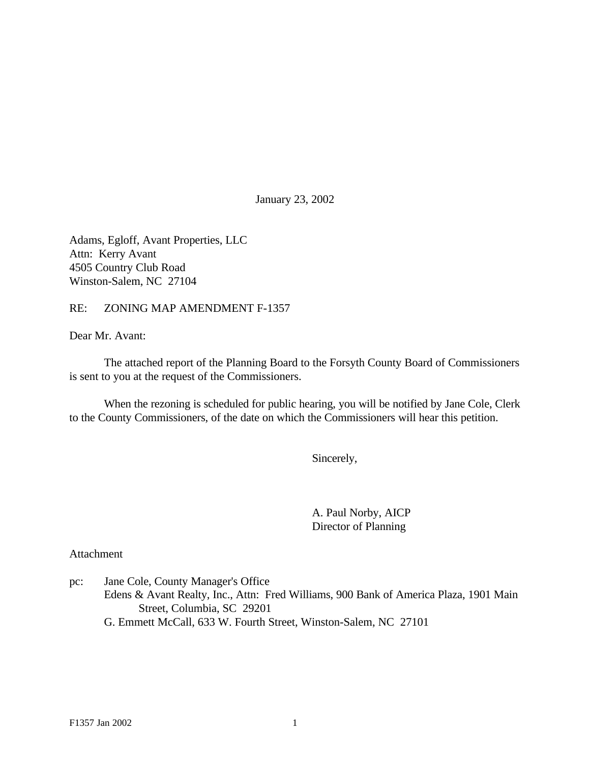January 23, 2002

Adams, Egloff, Avant Properties, LLC Attn: Kerry Avant 4505 Country Club Road Winston-Salem, NC 27104

#### RE: ZONING MAP AMENDMENT F-1357

Dear Mr. Avant:

The attached report of the Planning Board to the Forsyth County Board of Commissioners is sent to you at the request of the Commissioners.

When the rezoning is scheduled for public hearing, you will be notified by Jane Cole, Clerk to the County Commissioners, of the date on which the Commissioners will hear this petition.

Sincerely,

A. Paul Norby, AICP Director of Planning

Attachment

pc: Jane Cole, County Manager's Office Edens & Avant Realty, Inc., Attn: Fred Williams, 900 Bank of America Plaza, 1901 Main Street, Columbia, SC 29201 G. Emmett McCall, 633 W. Fourth Street, Winston-Salem, NC 27101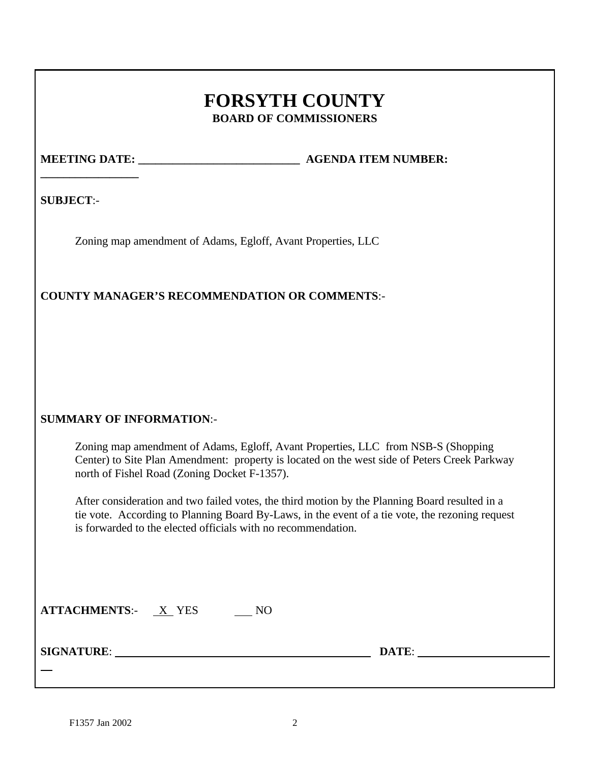# **FORSYTH COUNTY BOARD OF COMMISSIONERS**

**\_\_\_\_\_\_\_\_\_\_\_\_\_\_\_\_\_**

**MEETING DATE: \_\_\_\_\_\_\_\_\_\_\_\_\_\_\_\_\_\_\_\_\_\_\_\_\_\_\_\_ AGENDA ITEM NUMBER:**

**SUBJECT**:-

Zoning map amendment of Adams, Egloff, Avant Properties, LLC

# **COUNTY MANAGER'S RECOMMENDATION OR COMMENTS**:-

# **SUMMARY OF INFORMATION**:-

Zoning map amendment of Adams, Egloff, Avant Properties, LLC from NSB-S (Shopping Center) to Site Plan Amendment: property is located on the west side of Peters Creek Parkway north of Fishel Road (Zoning Docket F-1357).

After consideration and two failed votes, the third motion by the Planning Board resulted in a tie vote. According to Planning Board By-Laws, in the event of a tie vote, the rezoning request is forwarded to the elected officials with no recommendation.

| <b>ATTACHMENTS:-</b> | <b>YES</b> |  |
|----------------------|------------|--|
|                      |            |  |

**SIGNATURE**: **DATE**:

 $\overline{a}$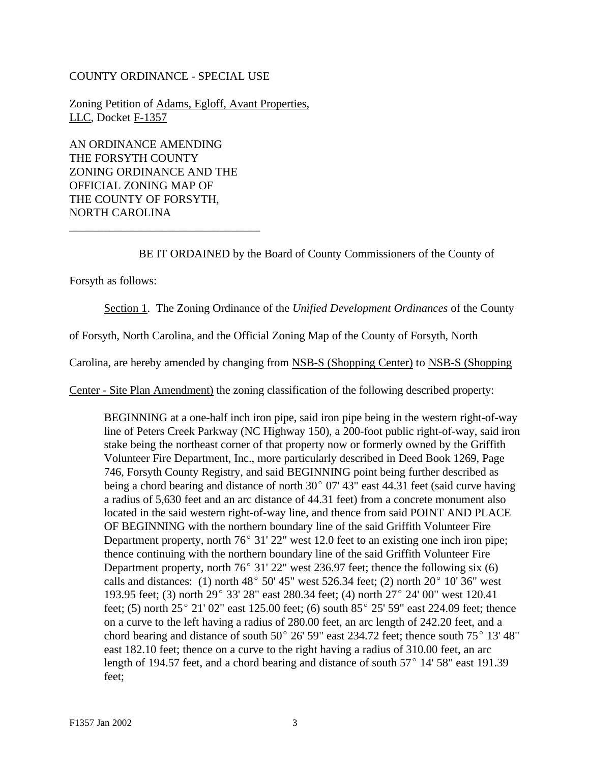#### COUNTY ORDINANCE - SPECIAL USE

Zoning Petition of Adams, Egloff, Avant Properties, LLC, Docket F-1357

AN ORDINANCE AMENDING THE FORSYTH COUNTY ZONING ORDINANCE AND THE OFFICIAL ZONING MAP OF THE COUNTY OF FORSYTH, NORTH CAROLINA

\_\_\_\_\_\_\_\_\_\_\_\_\_\_\_\_\_\_\_\_\_\_\_\_\_\_\_\_\_\_\_\_\_

BE IT ORDAINED by the Board of County Commissioners of the County of

Forsyth as follows:

Section 1. The Zoning Ordinance of the *Unified Development Ordinances* of the County

of Forsyth, North Carolina, and the Official Zoning Map of the County of Forsyth, North

Carolina, are hereby amended by changing from NSB-S (Shopping Center) to NSB-S (Shopping

Center - Site Plan Amendment) the zoning classification of the following described property:

BEGINNING at a one-half inch iron pipe, said iron pipe being in the western right-of-way line of Peters Creek Parkway (NC Highway 150), a 200-foot public right-of-way, said iron stake being the northeast corner of that property now or formerly owned by the Griffith Volunteer Fire Department, Inc., more particularly described in Deed Book 1269, Page 746, Forsyth County Registry, and said BEGINNING point being further described as being a chord bearing and distance of north  $30^{\circ}$  07' 43" east 44.31 feet (said curve having a radius of 5,630 feet and an arc distance of 44.31 feet) from a concrete monument also located in the said western right-of-way line, and thence from said POINT AND PLACE OF BEGINNING with the northern boundary line of the said Griffith Volunteer Fire Department property, north  $76^{\circ}$  31' 22" west 12.0 feet to an existing one inch iron pipe; thence continuing with the northern boundary line of the said Griffith Volunteer Fire Department property, north  $76^{\circ}$  31' 22" west 236.97 feet; thence the following six (6) calls and distances: (1) north  $48^{\circ}$  50' 45" west 526.34 feet; (2) north 20 $^{\circ}$  10' 36" west 193.95 feet; (3) north  $29^{\circ}$  33' 28" east 280.34 feet; (4) north  $27^{\circ}$  24' 00" west 120.41 feet; (5) north  $25^{\circ}$  21' 02" east 125.00 feet; (6) south  $85^{\circ}$  25' 59" east 224.09 feet; thence on a curve to the left having a radius of 280.00 feet, an arc length of 242.20 feet, and a chord bearing and distance of south  $50^{\circ}$  26' 59" east 234.72 feet; thence south  $75^{\circ}$  13' 48" east 182.10 feet; thence on a curve to the right having a radius of 310.00 feet, an arc length of 194.57 feet, and a chord bearing and distance of south  $57^{\circ}$  14' 58" east 191.39 feet;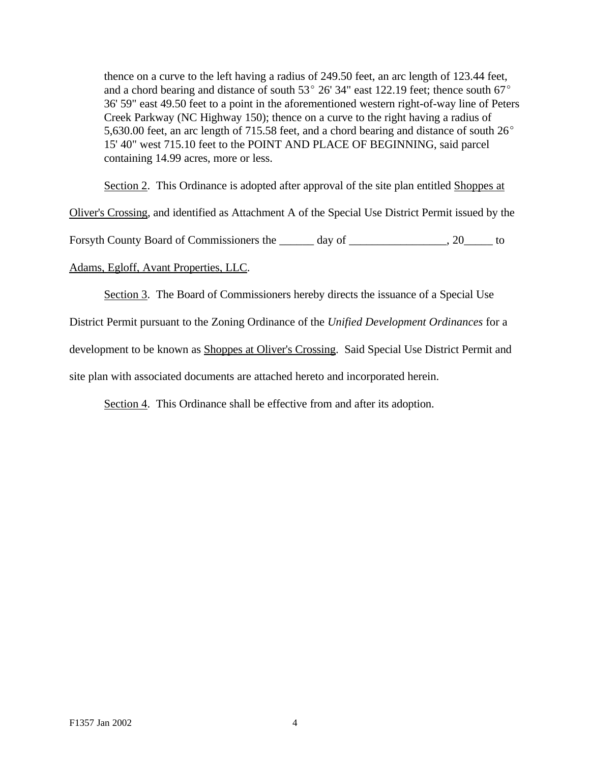thence on a curve to the left having a radius of 249.50 feet, an arc length of 123.44 feet, and a chord bearing and distance of south  $53^{\circ}$  26' 34" east 122.19 feet; thence south 67 $^{\circ}$ 36' 59" east 49.50 feet to a point in the aforementioned western right-of-way line of Peters Creek Parkway (NC Highway 150); thence on a curve to the right having a radius of 5,630.00 feet, an arc length of 715.58 feet, and a chord bearing and distance of south  $26^{\circ}$ 15' 40" west 715.10 feet to the POINT AND PLACE OF BEGINNING, said parcel containing 14.99 acres, more or less.

Section 2. This Ordinance is adopted after approval of the site plan entitled Shoppes at

Oliver's Crossing, and identified as Attachment A of the Special Use District Permit issued by the

Forsyth County Board of Commissioners the \_\_\_\_\_ day of \_\_\_\_\_\_\_\_\_\_\_\_\_\_, 20\_\_\_\_\_\_ to

Adams, Egloff, Avant Properties, LLC.

Section 3. The Board of Commissioners hereby directs the issuance of a Special Use

District Permit pursuant to the Zoning Ordinance of the *Unified Development Ordinances* for a

development to be known as Shoppes at Oliver's Crossing. Said Special Use District Permit and

site plan with associated documents are attached hereto and incorporated herein.

Section 4. This Ordinance shall be effective from and after its adoption.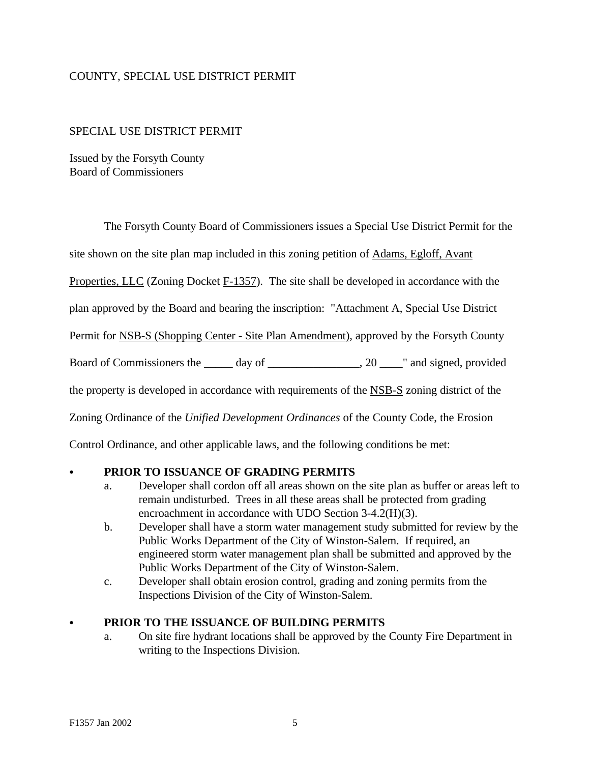# COUNTY, SPECIAL USE DISTRICT PERMIT

#### SPECIAL USE DISTRICT PERMIT

Issued by the Forsyth County Board of Commissioners

The Forsyth County Board of Commissioners issues a Special Use District Permit for the

site shown on the site plan map included in this zoning petition of Adams, Egloff, Avant

Properties, LLC (Zoning Docket F-1357). The site shall be developed in accordance with the

plan approved by the Board and bearing the inscription: "Attachment A, Special Use District

Permit for NSB-S (Shopping Center - Site Plan Amendment), approved by the Forsyth County

Board of Commissioners the \_\_\_\_\_ day of \_\_\_\_\_\_\_\_\_\_\_\_\_, 20 \_\_\_\_" and signed, provided

the property is developed in accordance with requirements of the NSB-S zoning district of the

Zoning Ordinance of the *Unified Development Ordinances* of the County Code, the Erosion

Control Ordinance, and other applicable laws, and the following conditions be met:

#### PRIOR TO ISSUANCE OF GRADING PERMITS

- a. Developer shall cordon off all areas shown on the site plan as buffer or areas left to remain undisturbed. Trees in all these areas shall be protected from grading encroachment in accordance with UDO Section 3-4.2(H)(3).
- b. Developer shall have a storm water management study submitted for review by the Public Works Department of the City of Winston-Salem. If required, an engineered storm water management plan shall be submitted and approved by the Public Works Department of the City of Winston-Salem.
- c. Developer shall obtain erosion control, grading and zoning permits from the Inspections Division of the City of Winston-Salem.

#### PRIOR TO THE ISSUANCE OF BUILDING PERMITS

a. On site fire hydrant locations shall be approved by the County Fire Department in writing to the Inspections Division.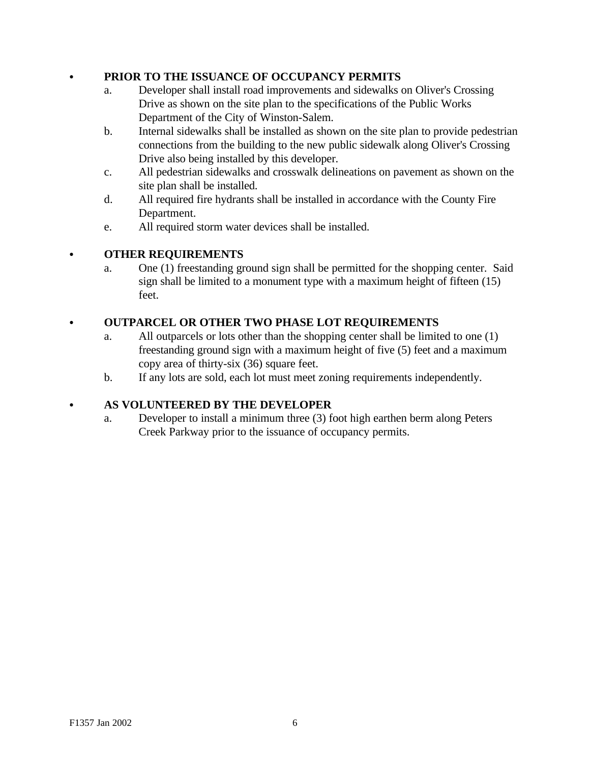# PRIOR TO THE ISSUANCE OF OCCUPANCY PERMITS

- a. Developer shall install road improvements and sidewalks on Oliver's Crossing Drive as shown on the site plan to the specifications of the Public Works Department of the City of Winston-Salem.
- b. Internal sidewalks shall be installed as shown on the site plan to provide pedestrian connections from the building to the new public sidewalk along Oliver's Crossing Drive also being installed by this developer.
- c. All pedestrian sidewalks and crosswalk delineations on pavement as shown on the site plan shall be installed.
- d. All required fire hydrants shall be installed in accordance with the County Fire Department.
- e. All required storm water devices shall be installed.

# C **OTHER REQUIREMENTS**

a. One (1) freestanding ground sign shall be permitted for the shopping center. Said sign shall be limited to a monument type with a maximum height of fifteen (15) feet.

# C **OUTPARCEL OR OTHER TWO PHASE LOT REQUIREMENTS**

- a. All outparcels or lots other than the shopping center shall be limited to one (1) freestanding ground sign with a maximum height of five (5) feet and a maximum copy area of thirty-six (36) square feet.
- b. If any lots are sold, each lot must meet zoning requirements independently.

# C **AS VOLUNTEERED BY THE DEVELOPER**

a. Developer to install a minimum three (3) foot high earthen berm along Peters Creek Parkway prior to the issuance of occupancy permits.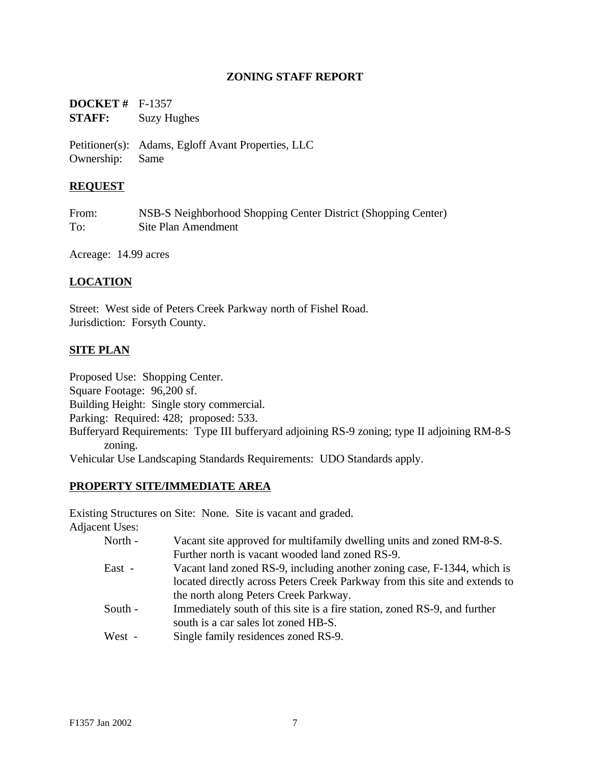### **ZONING STAFF REPORT**

| <b>DOCKET</b> # $F-1357$ |                    |
|--------------------------|--------------------|
| <b>STAFF:</b>            | <b>Suzy Hughes</b> |

Petitioner(s): Adams, Egloff Avant Properties, LLC Ownership: Same

### **REQUEST**

| From: | NSB-S Neighborhood Shopping Center District (Shopping Center) |
|-------|---------------------------------------------------------------|
| To:   | Site Plan Amendment                                           |

Acreage: 14.99 acres

# **LOCATION**

Street: West side of Peters Creek Parkway north of Fishel Road. Jurisdiction: Forsyth County.

### **SITE PLAN**

Proposed Use: Shopping Center. Square Footage: 96,200 sf. Building Height: Single story commercial. Parking: Required: 428; proposed: 533. Bufferyard Requirements: Type III bufferyard adjoining RS-9 zoning; type II adjoining RM-8-S zoning. Vehicular Use Landscaping Standards Requirements: UDO Standards apply.

### **PROPERTY SITE/IMMEDIATE AREA**

Existing Structures on Site: None. Site is vacant and graded.

Adjacent Uses:

| North - | Vacant site approved for multifamily dwelling units and zoned RM-8-S.      |
|---------|----------------------------------------------------------------------------|
|         | Further north is vacant wooded land zoned RS-9.                            |
| East -  | Vacant land zoned RS-9, including another zoning case, F-1344, which is    |
|         | located directly across Peters Creek Parkway from this site and extends to |
|         | the north along Peters Creek Parkway.                                      |
| South - | Immediately south of this site is a fire station, zoned RS-9, and further  |
|         | south is a car sales lot zoned HB-S.                                       |
| West -  | Single family residences zoned RS-9.                                       |
|         |                                                                            |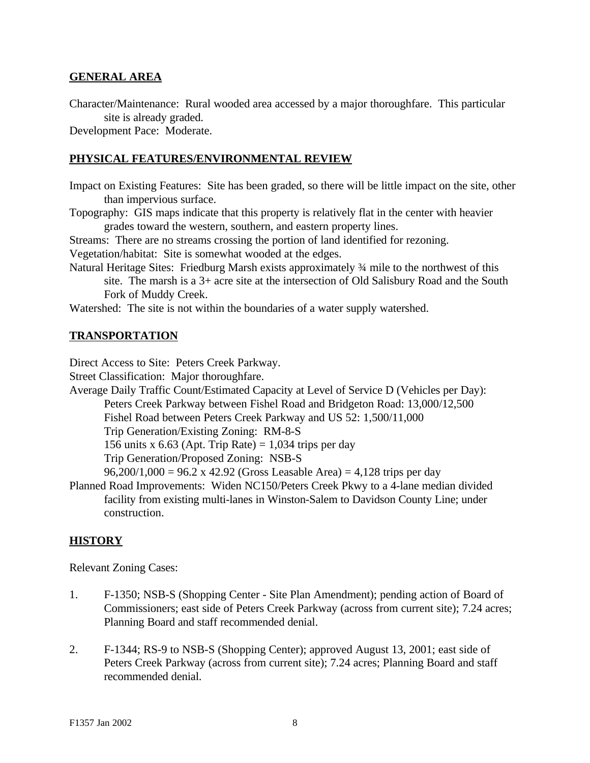#### **GENERAL AREA**

Character/Maintenance: Rural wooded area accessed by a major thoroughfare. This particular site is already graded.

Development Pace: Moderate.

#### **PHYSICAL FEATURES/ENVIRONMENTAL REVIEW**

- Impact on Existing Features: Site has been graded, so there will be little impact on the site, other than impervious surface.
- Topography: GIS maps indicate that this property is relatively flat in the center with heavier grades toward the western, southern, and eastern property lines.

Streams: There are no streams crossing the portion of land identified for rezoning.

Vegetation/habitat: Site is somewhat wooded at the edges.

Natural Heritage Sites: Friedburg Marsh exists approximately ¾ mile to the northwest of this site. The marsh is a 3+ acre site at the intersection of Old Salisbury Road and the South Fork of Muddy Creek.

Watershed: The site is not within the boundaries of a water supply watershed.

#### **TRANSPORTATION**

Direct Access to Site: Peters Creek Parkway.

Street Classification: Major thoroughfare.

Average Daily Traffic Count/Estimated Capacity at Level of Service D (Vehicles per Day): Peters Creek Parkway between Fishel Road and Bridgeton Road: 13,000/12,500 Fishel Road between Peters Creek Parkway and US 52: 1,500/11,000

Trip Generation/Existing Zoning: RM-8-S

156 units x 6.63 (Apt. Trip Rate) = 1,034 trips per day

Trip Generation/Proposed Zoning: NSB-S

 $96,200/1,000 = 96.2$  x 42.92 (Gross Leasable Area) = 4,128 trips per day

Planned Road Improvements: Widen NC150/Peters Creek Pkwy to a 4-lane median divided facility from existing multi-lanes in Winston-Salem to Davidson County Line; under construction.

#### **HISTORY**

Relevant Zoning Cases:

- 1. F-1350; NSB-S (Shopping Center Site Plan Amendment); pending action of Board of Commissioners; east side of Peters Creek Parkway (across from current site); 7.24 acres; Planning Board and staff recommended denial.
- 2. F-1344; RS-9 to NSB-S (Shopping Center); approved August 13, 2001; east side of Peters Creek Parkway (across from current site); 7.24 acres; Planning Board and staff recommended denial.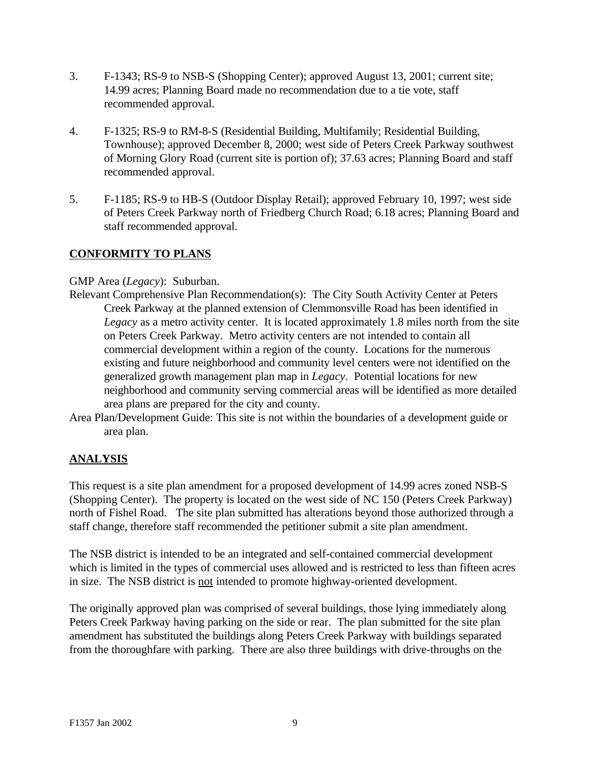- 3. F-1343; RS-9 to NSB-S (Shopping Center); approved August 13, 2001; current site; 14.99 acres; Planning Board made no recommendation due to a tie vote, staff recommended approval.
- 4. F-1325; RS-9 to RM-8-S (Residential Building, Multifamily; Residential Building, Townhouse); approved December 8, 2000; west side of Peters Creek Parkway southwest of Morning Glory Road (current site is portion of); 37.63 acres; Planning Board and staff recommended approval.
- 5. F-1185; RS-9 to HB-S (Outdoor Display Retail); approved February 10, 1997; west side of Peters Creek Parkway north of Friedberg Church Road; 6.18 acres; Planning Board and staff recommended approval.

# **CONFORMITY TO PLANS**

### GMP Area (*Legacy*): Suburban.

- Relevant Comprehensive Plan Recommendation(s): The City South Activity Center at Peters Creek Parkway at the planned extension of Clemmonsville Road has been identified in *Legacy* as a metro activity center. It is located approximately 1.8 miles north from the site on Peters Creek Parkway. Metro activity centers are not intended to contain all commercial development within a region of the county. Locations for the numerous existing and future neighborhood and community level centers were not identified on the generalized growth management plan map in *Legacy*. Potential locations for new neighborhood and community serving commercial areas will be identified as more detailed area plans are prepared for the city and county.
- Area Plan/Development Guide: This site is not within the boundaries of a development guide or area plan.

# **ANALYSIS**

This request is a site plan amendment for a proposed development of 14.99 acres zoned NSB-S (Shopping Center). The property is located on the west side of NC 150 (Peters Creek Parkway) north of Fishel Road. The site plan submitted has alterations beyond those authorized through a staff change, therefore staff recommended the petitioner submit a site plan amendment.

The NSB district is intended to be an integrated and self-contained commercial development which is limited in the types of commercial uses allowed and is restricted to less than fifteen acres in size. The NSB district is not intended to promote highway-oriented development.

The originally approved plan was comprised of several buildings, those lying immediately along Peters Creek Parkway having parking on the side or rear. The plan submitted for the site plan amendment has substituted the buildings along Peters Creek Parkway with buildings separated from the thoroughfare with parking. There are also three buildings with drive-throughs on the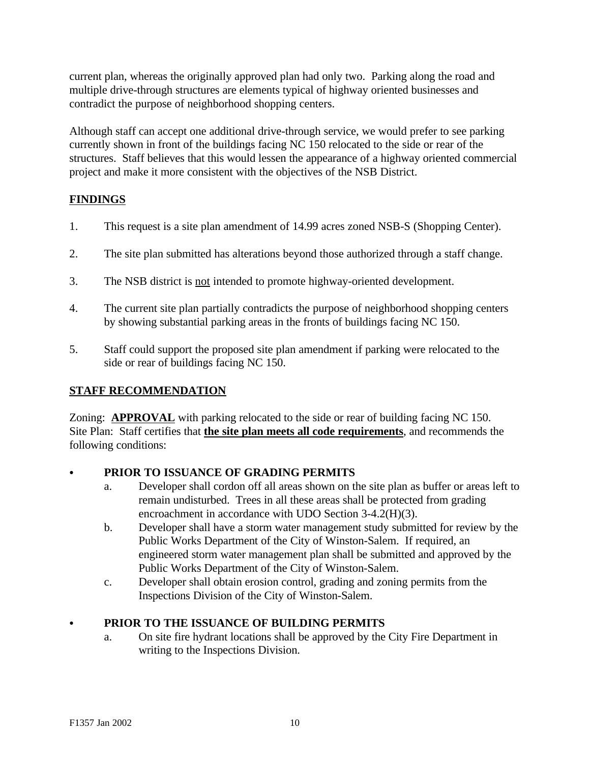current plan, whereas the originally approved plan had only two. Parking along the road and multiple drive-through structures are elements typical of highway oriented businesses and contradict the purpose of neighborhood shopping centers.

Although staff can accept one additional drive-through service, we would prefer to see parking currently shown in front of the buildings facing NC 150 relocated to the side or rear of the structures. Staff believes that this would lessen the appearance of a highway oriented commercial project and make it more consistent with the objectives of the NSB District.

# **FINDINGS**

- 1. This request is a site plan amendment of 14.99 acres zoned NSB-S (Shopping Center).
- 2. The site plan submitted has alterations beyond those authorized through a staff change.
- 3. The NSB district is not intended to promote highway-oriented development.
- 4. The current site plan partially contradicts the purpose of neighborhood shopping centers by showing substantial parking areas in the fronts of buildings facing NC 150.
- 5. Staff could support the proposed site plan amendment if parking were relocated to the side or rear of buildings facing NC 150.

# **STAFF RECOMMENDATION**

Zoning: **APPROVAL** with parking relocated to the side or rear of building facing NC 150. Site Plan: Staff certifies that **the site plan meets all code requirements**, and recommends the following conditions:

# C **PRIOR TO ISSUANCE OF GRADING PERMITS**

- a. Developer shall cordon off all areas shown on the site plan as buffer or areas left to remain undisturbed. Trees in all these areas shall be protected from grading encroachment in accordance with UDO Section 3-4.2(H)(3).
- b. Developer shall have a storm water management study submitted for review by the Public Works Department of the City of Winston-Salem. If required, an engineered storm water management plan shall be submitted and approved by the Public Works Department of the City of Winston-Salem.
- c. Developer shall obtain erosion control, grading and zoning permits from the Inspections Division of the City of Winston-Salem.

# C **PRIOR TO THE ISSUANCE OF BUILDING PERMITS**

a. On site fire hydrant locations shall be approved by the City Fire Department in writing to the Inspections Division.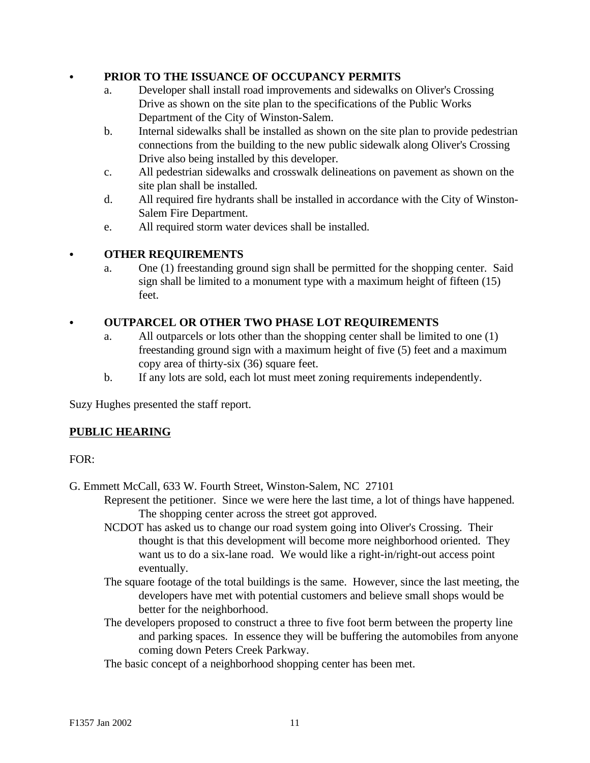### C **PRIOR TO THE ISSUANCE OF OCCUPANCY PERMITS**

- a. Developer shall install road improvements and sidewalks on Oliver's Crossing Drive as shown on the site plan to the specifications of the Public Works Department of the City of Winston-Salem.
- b. Internal sidewalks shall be installed as shown on the site plan to provide pedestrian connections from the building to the new public sidewalk along Oliver's Crossing Drive also being installed by this developer.
- c. All pedestrian sidewalks and crosswalk delineations on pavement as shown on the site plan shall be installed.
- d. All required fire hydrants shall be installed in accordance with the City of Winston-Salem Fire Department.
- e. All required storm water devices shall be installed.

### **• OTHER REQUIREMENTS**

a. One (1) freestanding ground sign shall be permitted for the shopping center. Said sign shall be limited to a monument type with a maximum height of fifteen (15) feet.

### **OUTPARCEL OR OTHER TWO PHASE LOT REQUIREMENTS**

- a. All outparcels or lots other than the shopping center shall be limited to one (1) freestanding ground sign with a maximum height of five (5) feet and a maximum copy area of thirty-six (36) square feet.
- b. If any lots are sold, each lot must meet zoning requirements independently.

Suzy Hughes presented the staff report.

# **PUBLIC HEARING**

FOR:

G. Emmett McCall, 633 W. Fourth Street, Winston-Salem, NC 27101

Represent the petitioner. Since we were here the last time, a lot of things have happened. The shopping center across the street got approved.

- NCDOT has asked us to change our road system going into Oliver's Crossing. Their thought is that this development will become more neighborhood oriented. They want us to do a six-lane road. We would like a right-in/right-out access point eventually.
- The square footage of the total buildings is the same. However, since the last meeting, the developers have met with potential customers and believe small shops would be better for the neighborhood.
- The developers proposed to construct a three to five foot berm between the property line and parking spaces. In essence they will be buffering the automobiles from anyone coming down Peters Creek Parkway.

The basic concept of a neighborhood shopping center has been met.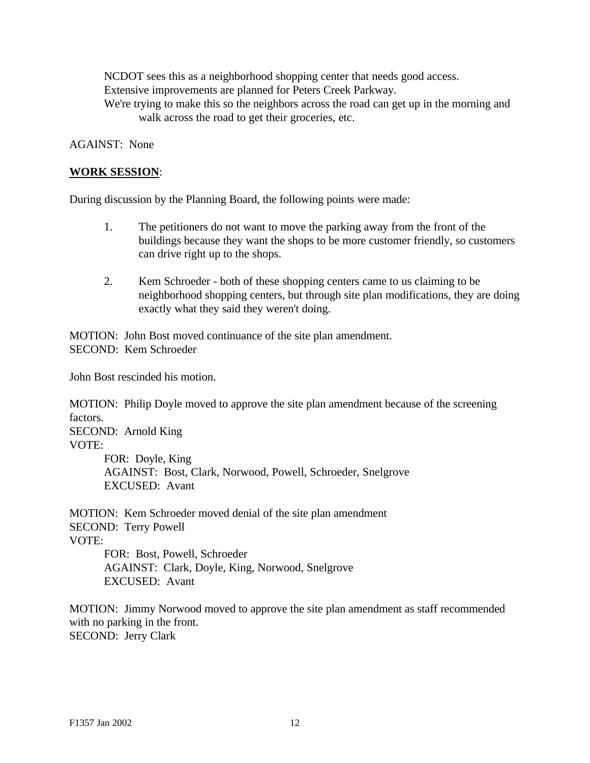NCDOT sees this as a neighborhood shopping center that needs good access. Extensive improvements are planned for Peters Creek Parkway.

We're trying to make this so the neighbors across the road can get up in the morning and walk across the road to get their groceries, etc.

AGAINST: None

### **WORK SESSION**:

During discussion by the Planning Board, the following points were made:

- 1. The petitioners do not want to move the parking away from the front of the buildings because they want the shops to be more customer friendly, so customers can drive right up to the shops.
- 2. Kem Schroeder both of these shopping centers came to us claiming to be neighborhood shopping centers, but through site plan modifications, they are doing exactly what they said they weren't doing.

MOTION: John Bost moved continuance of the site plan amendment. SECOND: Kem Schroeder

John Bost rescinded his motion.

MOTION: Philip Doyle moved to approve the site plan amendment because of the screening factors.

SECOND: Arnold King VOTE:

FOR: Doyle, King AGAINST: Bost, Clark, Norwood, Powell, Schroeder, Snelgrove EXCUSED: Avant

MOTION: Kem Schroeder moved denial of the site plan amendment SECOND: Terry Powell VOTE: FOR: Bost, Powell, Schroeder

AGAINST: Clark, Doyle, King, Norwood, Snelgrove EXCUSED: Avant

MOTION: Jimmy Norwood moved to approve the site plan amendment as staff recommended with no parking in the front. SECOND: Jerry Clark